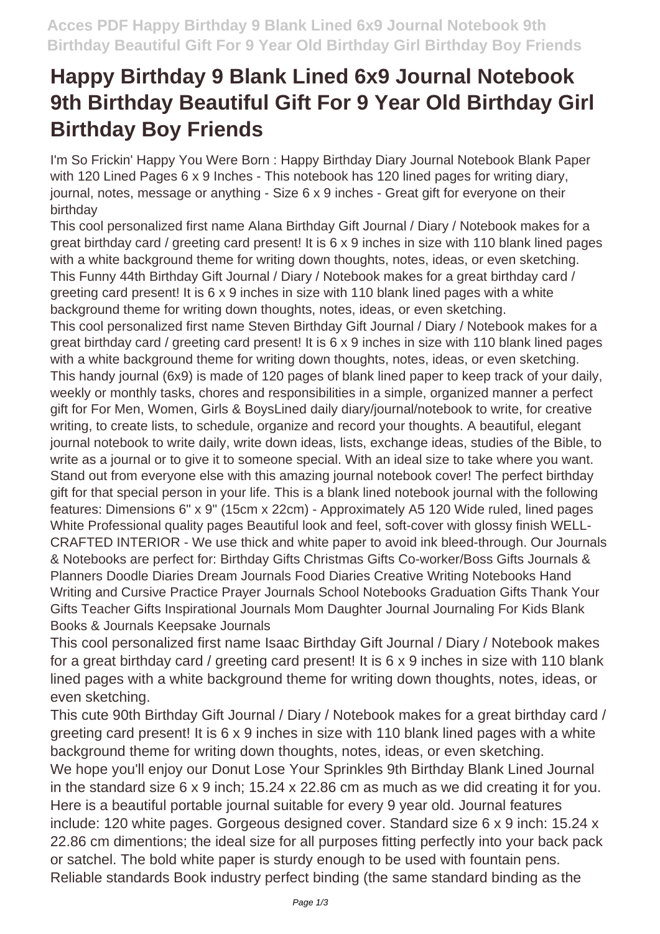## **Happy Birthday 9 Blank Lined 6x9 Journal Notebook 9th Birthday Beautiful Gift For 9 Year Old Birthday Girl Birthday Boy Friends**

I'm So Frickin' Happy You Were Born : Happy Birthday Diary Journal Notebook Blank Paper with 120 Lined Pages 6 x 9 Inches - This notebook has 120 lined pages for writing diary, journal, notes, message or anything - Size 6 x 9 inches - Great gift for everyone on their birthday

This cool personalized first name Alana Birthday Gift Journal / Diary / Notebook makes for a great birthday card / greeting card present! It is 6 x 9 inches in size with 110 blank lined pages with a white background theme for writing down thoughts, notes, ideas, or even sketching. This Funny 44th Birthday Gift Journal / Diary / Notebook makes for a great birthday card / greeting card present! It is 6 x 9 inches in size with 110 blank lined pages with a white background theme for writing down thoughts, notes, ideas, or even sketching. This cool personalized first name Steven Birthday Gift Journal / Diary / Notebook makes for a great birthday card / greeting card present! It is 6 x 9 inches in size with 110 blank lined pages with a white background theme for writing down thoughts, notes, ideas, or even sketching. This handy journal (6x9) is made of 120 pages of blank lined paper to keep track of your daily, weekly or monthly tasks, chores and responsibilities in a simple, organized manner a perfect gift for For Men, Women, Girls & BoysLined daily diary/journal/notebook to write, for creative writing, to create lists, to schedule, organize and record your thoughts. A beautiful, elegant journal notebook to write daily, write down ideas, lists, exchange ideas, studies of the Bible, to write as a journal or to give it to someone special. With an ideal size to take where you want. Stand out from everyone else with this amazing journal notebook cover! The perfect birthday gift for that special person in your life. This is a blank lined notebook journal with the following features: Dimensions 6" x 9" (15cm x 22cm) - Approximately A5 120 Wide ruled, lined pages White Professional quality pages Beautiful look and feel, soft-cover with glossy finish WELL-CRAFTED INTERIOR - We use thick and white paper to avoid ink bleed-through. Our Journals & Notebooks are perfect for: Birthday Gifts Christmas Gifts Co-worker/Boss Gifts Journals & Planners Doodle Diaries Dream Journals Food Diaries Creative Writing Notebooks Hand Writing and Cursive Practice Prayer Journals School Notebooks Graduation Gifts Thank Your Gifts Teacher Gifts Inspirational Journals Mom Daughter Journal Journaling For Kids Blank Books & Journals Keepsake Journals

This cool personalized first name Isaac Birthday Gift Journal / Diary / Notebook makes for a great birthday card / greeting card present! It is 6 x 9 inches in size with 110 blank lined pages with a white background theme for writing down thoughts, notes, ideas, or even sketching.

This cute 90th Birthday Gift Journal / Diary / Notebook makes for a great birthday card / greeting card present! It is 6 x 9 inches in size with 110 blank lined pages with a white background theme for writing down thoughts, notes, ideas, or even sketching.

We hope you'll enjoy our Donut Lose Your Sprinkles 9th Birthday Blank Lined Journal in the standard size 6 x 9 inch; 15.24 x 22.86 cm as much as we did creating it for you. Here is a beautiful portable journal suitable for every 9 year old. Journal features include: 120 white pages. Gorgeous designed cover. Standard size 6 x 9 inch: 15.24 x 22.86 cm dimentions; the ideal size for all purposes fitting perfectly into your back pack or satchel. The bold white paper is sturdy enough to be used with fountain pens. Reliable standards Book industry perfect binding (the same standard binding as the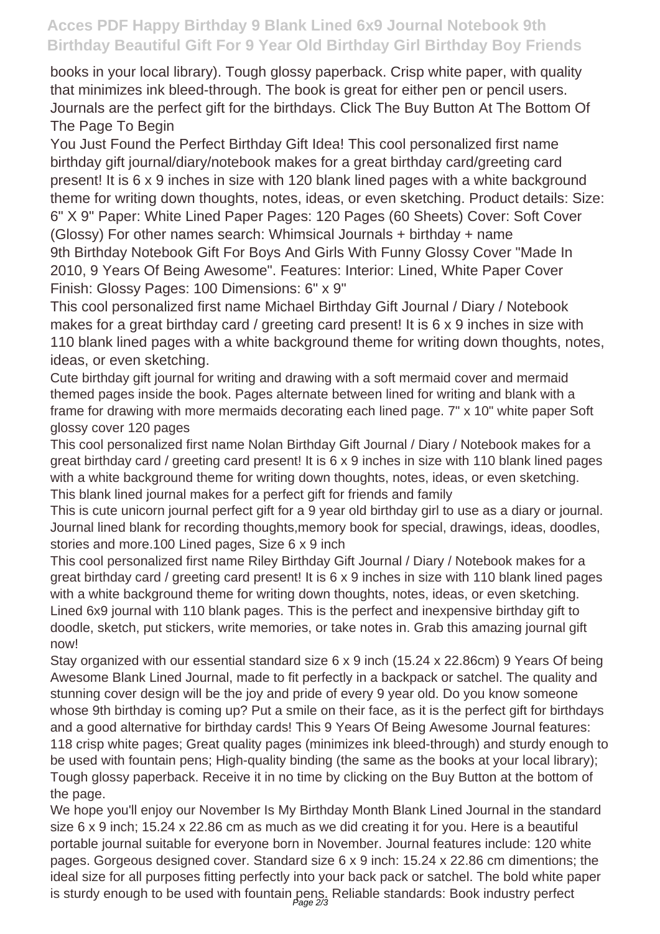## **Acces PDF Happy Birthday 9 Blank Lined 6x9 Journal Notebook 9th Birthday Beautiful Gift For 9 Year Old Birthday Girl Birthday Boy Friends**

books in your local library). Tough glossy paperback. Crisp white paper, with quality that minimizes ink bleed-through. The book is great for either pen or pencil users. Journals are the perfect gift for the birthdays. Click The Buy Button At The Bottom Of The Page To Begin

You Just Found the Perfect Birthday Gift Idea! This cool personalized first name birthday gift journal/diary/notebook makes for a great birthday card/greeting card present! It is 6 x 9 inches in size with 120 blank lined pages with a white background theme for writing down thoughts, notes, ideas, or even sketching. Product details: Size: 6" X 9" Paper: White Lined Paper Pages: 120 Pages (60 Sheets) Cover: Soft Cover (Glossy) For other names search: Whimsical Journals + birthday + name 9th Birthday Notebook Gift For Boys And Girls With Funny Glossy Cover "Made In 2010, 9 Years Of Being Awesome". Features: Interior: Lined, White Paper Cover Finish: Glossy Pages: 100 Dimensions: 6" x 9"

This cool personalized first name Michael Birthday Gift Journal / Diary / Notebook makes for a great birthday card / greeting card present! It is 6 x 9 inches in size with 110 blank lined pages with a white background theme for writing down thoughts, notes, ideas, or even sketching.

Cute birthday gift journal for writing and drawing with a soft mermaid cover and mermaid themed pages inside the book. Pages alternate between lined for writing and blank with a frame for drawing with more mermaids decorating each lined page. 7" x 10" white paper Soft glossy cover 120 pages

This cool personalized first name Nolan Birthday Gift Journal / Diary / Notebook makes for a great birthday card / greeting card present! It is 6 x 9 inches in size with 110 blank lined pages with a white background theme for writing down thoughts, notes, ideas, or even sketching. This blank lined journal makes for a perfect gift for friends and family

This is cute unicorn journal perfect gift for a 9 year old birthday girl to use as a diary or journal. Journal lined blank for recording thoughts,memory book for special, drawings, ideas, doodles, stories and more.100 Lined pages, Size 6 x 9 inch

This cool personalized first name Riley Birthday Gift Journal / Diary / Notebook makes for a great birthday card / greeting card present! It is 6 x 9 inches in size with 110 blank lined pages with a white background theme for writing down thoughts, notes, ideas, or even sketching. Lined 6x9 journal with 110 blank pages. This is the perfect and inexpensive birthday gift to doodle, sketch, put stickers, write memories, or take notes in. Grab this amazing journal gift now!

Stay organized with our essential standard size 6 x 9 inch (15.24 x 22.86cm) 9 Years Of being Awesome Blank Lined Journal, made to fit perfectly in a backpack or satchel. The quality and stunning cover design will be the joy and pride of every 9 year old. Do you know someone whose 9th birthday is coming up? Put a smile on their face, as it is the perfect gift for birthdays and a good alternative for birthday cards! This 9 Years Of Being Awesome Journal features: 118 crisp white pages; Great quality pages (minimizes ink bleed-through) and sturdy enough to be used with fountain pens; High-quality binding (the same as the books at your local library); Tough glossy paperback. Receive it in no time by clicking on the Buy Button at the bottom of the page.

We hope you'll enjoy our November Is My Birthday Month Blank Lined Journal in the standard size 6 x 9 inch; 15.24 x 22.86 cm as much as we did creating it for you. Here is a beautiful portable journal suitable for everyone born in November. Journal features include: 120 white pages. Gorgeous designed cover. Standard size 6 x 9 inch: 15.24 x 22.86 cm dimentions; the ideal size for all purposes fitting perfectly into your back pack or satchel. The bold white paper is sturdy enough to be used with fountain pens. Reliable standards: Book industry perfect